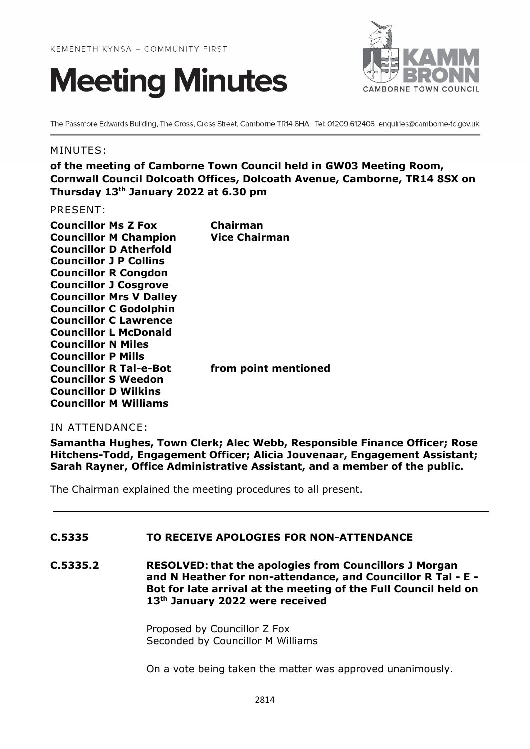



The Passmore Edwards Building, The Cross, Cross Street, Camborne TR14 8HA Tel: 01209 612406 enquiries@camborne-tc.gov.uk

### MINUTES:

**of the meeting of Camborne Town Council held in GW03 Meeting Room, Cornwall Council Dolcoath Offices, Dolcoath Avenue, Camborne, TR14 8SX on Thursday 13th January 2022 at 6.30 pm**

PRESENT:

| <b>Councillor Ms Z Fox</b>     | Chairman             |
|--------------------------------|----------------------|
| <b>Councillor M Champion</b>   | <b>Vice Chairman</b> |
| <b>Councillor D Atherfold</b>  |                      |
| <b>Councillor J P Collins</b>  |                      |
| <b>Councillor R Congdon</b>    |                      |
| <b>Councillor J Cosgrove</b>   |                      |
| <b>Councillor Mrs V Dalley</b> |                      |
| <b>Councillor C Godolphin</b>  |                      |
| <b>Councillor C Lawrence</b>   |                      |
| <b>Councillor L McDonald</b>   |                      |
| <b>Councillor N Miles</b>      |                      |
| <b>Councillor P Mills</b>      |                      |
| <b>Councillor R Tal-e-Bot</b>  | from point mentioned |
| <b>Councillor S Weedon</b>     |                      |
| <b>Councillor D Wilkins</b>    |                      |
| <b>Councillor M Williams</b>   |                      |
|                                |                      |

IN ATTENDANCE:

**Samantha Hughes, Town Clerk; Alec Webb, Responsible Finance Officer; Rose Hitchens-Todd, Engagement Officer; Alicia Jouvenaar, Engagement Assistant; Sarah Rayner, Office Administrative Assistant, and a member of the public.**

The Chairman explained the meeting procedures to all present.

# **C.5335 TO RECEIVE APOLOGIES FOR NON-ATTENDANCE**

**C.5335.2 RESOLVED: that the apologies from Councillors J Morgan and N Heather for non-attendance, and Councillor R Tal - E - Bot for late arrival at the meeting of the Full Council held on 13th January 2022 were received**

> Proposed by Councillor Z Fox Seconded by Councillor M Williams

On a vote being taken the matter was approved unanimously.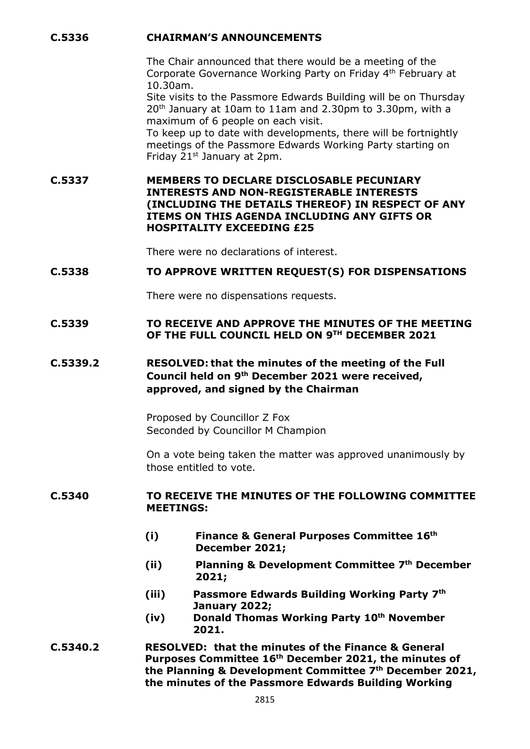### **C.5336 CHAIRMAN'S ANNOUNCEMENTS**

The Chair announced that there would be a meeting of the Corporate Governance Working Party on Friday 4th February at 10.30am.

Site visits to the Passmore Edwards Building will be on Thursday 20th January at 10am to 11am and 2.30pm to 3.30pm, with a maximum of 6 people on each visit.

To keep up to date with developments, there will be fortnightly meetings of the Passmore Edwards Working Party starting on Friday 21<sup>st</sup> January at 2pm.

**C.5337 MEMBERS TO DECLARE DISCLOSABLE PECUNIARY INTERESTS AND NON-REGISTERABLE INTERESTS (INCLUDING THE DETAILS THEREOF) IN RESPECT OF ANY ITEMS ON THIS AGENDA INCLUDING ANY GIFTS OR HOSPITALITY EXCEEDING £25**

There were no declarations of interest.

### **C.5338 TO APPROVE WRITTEN REQUEST(S) FOR DISPENSATIONS**

There were no dispensations requests.

## **C.5339 TO RECEIVE AND APPROVE THE MINUTES OF THE MEETING OF THE FULL COUNCIL HELD ON 9TH DECEMBER 2021**

# **C.5339.2 RESOLVED: that the minutes of the meeting of the Full Council held on 9th December 2021 were received, approved, and signed by the Chairman**

Proposed by Councillor Z Fox Seconded by Councillor M Champion

On a vote being taken the matter was approved unanimously by those entitled to vote.

#### **C.5340 TO RECEIVE THE MINUTES OF THE FOLLOWING COMMITTEE MEETINGS:**

- **(i) Finance & General Purposes Committee 16th December 2021;**
- **(ii) Planning & Development Committee 7th December 2021;**
- **(iii) Passmore Edwards Building Working Party 7th January 2022;**
- **(iv) Donald Thomas Working Party 10th November 2021.**
- **C.5340.2 RESOLVED: that the minutes of the Finance & General Purposes Committee 16th December 2021, the minutes of the Planning & Development Committee 7th December 2021, the minutes of the Passmore Edwards Building Working**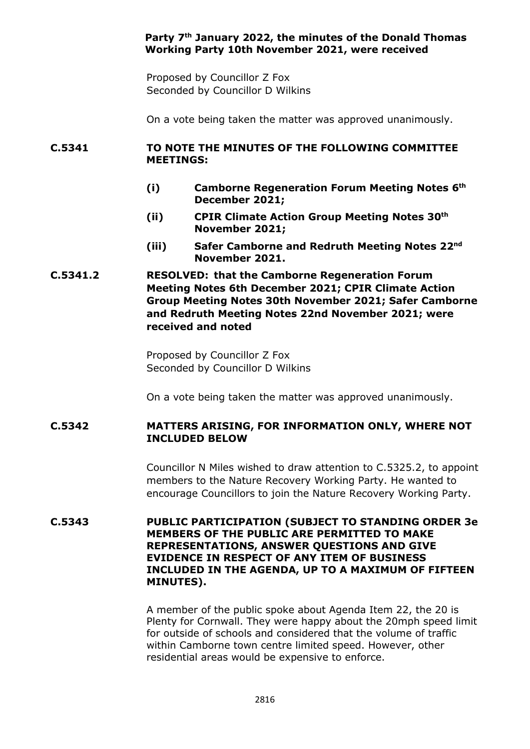# **Party 7th January 2022, the minutes of the Donald Thomas Working Party 10th November 2021, were received**

Proposed by Councillor Z Fox Seconded by Councillor D Wilkins

On a vote being taken the matter was approved unanimously.

### **C.5341 TO NOTE THE MINUTES OF THE FOLLOWING COMMITTEE MEETINGS:**

- **(i) Camborne Regeneration Forum Meeting Notes 6th December 2021;**
- **(ii) CPIR Climate Action Group Meeting Notes 30th November 2021;**
- **(iii) Safer Camborne and Redruth Meeting Notes 22nd November 2021.**
- **C.5341.2 RESOLVED: that the Camborne Regeneration Forum Meeting Notes 6th December 2021; CPIR Climate Action Group Meeting Notes 30th November 2021; Safer Camborne and Redruth Meeting Notes 22nd November 2021; were received and noted**

Proposed by Councillor Z Fox Seconded by Councillor D Wilkins

On a vote being taken the matter was approved unanimously.

# **C.5342 MATTERS ARISING, FOR INFORMATION ONLY, WHERE NOT INCLUDED BELOW**

Councillor N Miles wished to draw attention to C.5325.2, to appoint members to the Nature Recovery Working Party. He wanted to encourage Councillors to join the Nature Recovery Working Party.

**C.5343 PUBLIC PARTICIPATION (SUBJECT TO STANDING ORDER 3e MEMBERS OF THE PUBLIC ARE PERMITTED TO MAKE REPRESENTATIONS, ANSWER QUESTIONS AND GIVE EVIDENCE IN RESPECT OF ANY ITEM OF BUSINESS INCLUDED IN THE AGENDA, UP TO A MAXIMUM OF FIFTEEN MINUTES).**

> A member of the public spoke about Agenda Item 22, the 20 is Plenty for Cornwall. They were happy about the 20mph speed limit for outside of schools and considered that the volume of traffic within Camborne town centre limited speed. However, other residential areas would be expensive to enforce.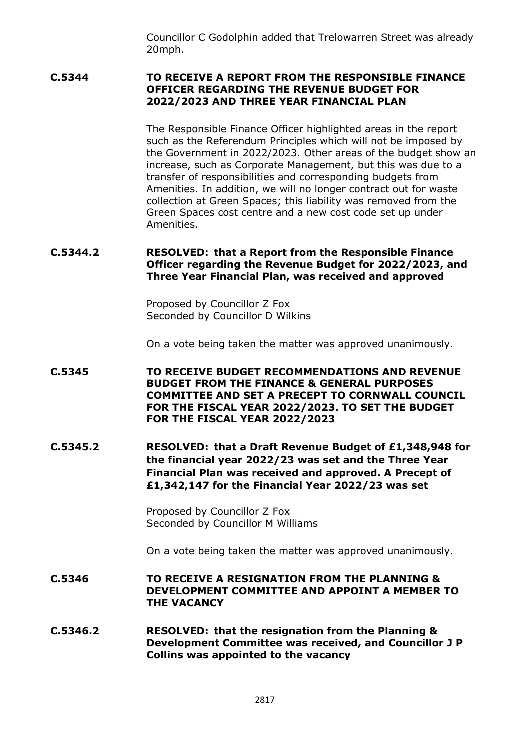Councillor C Godolphin added that Trelowarren Street was already 20mph.

### **C.5344 TO RECEIVE A REPORT FROM THE RESPONSIBLE FINANCE OFFICER REGARDING THE REVENUE BUDGET FOR 2022/2023 AND THREE YEAR FINANCIAL PLAN**

The Responsible Finance Officer highlighted areas in the report such as the Referendum Principles which will not be imposed by the Government in 2022/2023. Other areas of the budget show an increase, such as Corporate Management, but this was due to a transfer of responsibilities and corresponding budgets from Amenities. In addition, we will no longer contract out for waste collection at Green Spaces; this liability was removed from the Green Spaces cost centre and a new cost code set up under Amenities.

## **C.5344.2 RESOLVED: that a Report from the Responsible Finance Officer regarding the Revenue Budget for 2022/2023, and Three Year Financial Plan, was received and approved**

Proposed by Councillor Z Fox Seconded by Councillor D Wilkins

On a vote being taken the matter was approved unanimously.

- **C.5345 TO RECEIVE BUDGET RECOMMENDATIONS AND REVENUE BUDGET FROM THE FINANCE & GENERAL PURPOSES COMMITTEE AND SET A PRECEPT TO CORNWALL COUNCIL FOR THE FISCAL YEAR 2022/2023. TO SET THE BUDGET FOR THE FISCAL YEAR 2022/2023**
- **C.5345.2 RESOLVED: that a Draft Revenue Budget of £1,348,948 for the financial year 2022/23 was set and the Three Year Financial Plan was received and approved. A Precept of £1,342,147 for the Financial Year 2022/23 was set**

Proposed by Councillor Z Fox Seconded by Councillor M Williams

On a vote being taken the matter was approved unanimously.

### **C.5346 TO RECEIVE A RESIGNATION FROM THE PLANNING & DEVELOPMENT COMMITTEE AND APPOINT A MEMBER TO THE VACANCY**

**C.5346.2 RESOLVED: that the resignation from the Planning & Development Committee was received, and Councillor J P Collins was appointed to the vacancy**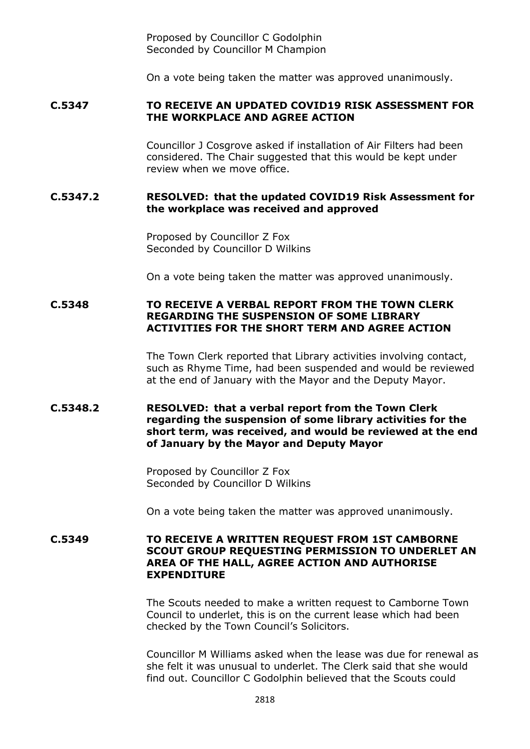Proposed by Councillor C Godolphin Seconded by Councillor M Champion

On a vote being taken the matter was approved unanimously.

### **C.5347 TO RECEIVE AN UPDATED COVID19 RISK ASSESSMENT FOR THE WORKPLACE AND AGREE ACTION**

Councillor J Cosgrove asked if installation of Air Filters had been considered. The Chair suggested that this would be kept under review when we move office.

### **C.5347.2 RESOLVED: that the updated COVID19 Risk Assessment for the workplace was received and approved**

Proposed by Councillor Z Fox Seconded by Councillor D Wilkins

On a vote being taken the matter was approved unanimously.

# **C.5348 TO RECEIVE A VERBAL REPORT FROM THE TOWN CLERK REGARDING THE SUSPENSION OF SOME LIBRARY ACTIVITIES FOR THE SHORT TERM AND AGREE ACTION**

The Town Clerk reported that Library activities involving contact, such as Rhyme Time, had been suspended and would be reviewed at the end of January with the Mayor and the Deputy Mayor.

### **C.5348.2 RESOLVED: that a verbal report from the Town Clerk regarding the suspension of some library activities for the short term, was received, and would be reviewed at the end of January by the Mayor and Deputy Mayor**

Proposed by Councillor Z Fox Seconded by Councillor D Wilkins

On a vote being taken the matter was approved unanimously.

### **C.5349 TO RECEIVE A WRITTEN REQUEST FROM 1ST CAMBORNE SCOUT GROUP REQUESTING PERMISSION TO UNDERLET AN AREA OF THE HALL, AGREE ACTION AND AUTHORISE EXPENDITURE**

The Scouts needed to make a written request to Camborne Town Council to underlet, this is on the current lease which had been checked by the Town Council's Solicitors.

Councillor M Williams asked when the lease was due for renewal as she felt it was unusual to underlet. The Clerk said that she would find out. Councillor C Godolphin believed that the Scouts could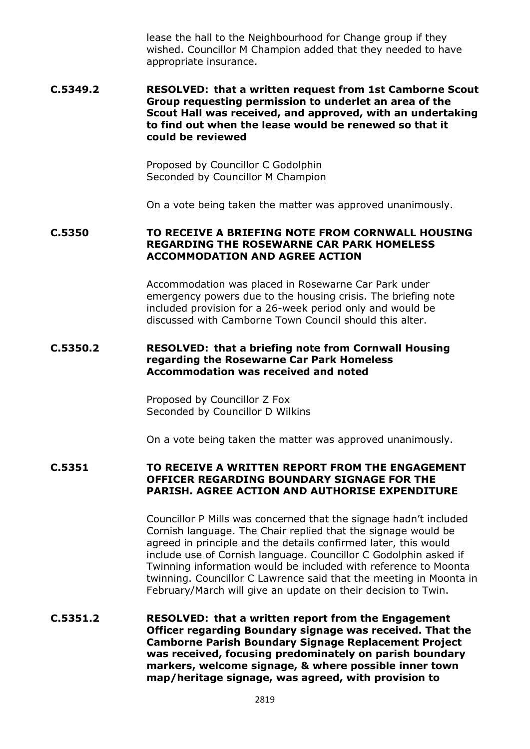lease the hall to the Neighbourhood for Change group if they wished. Councillor M Champion added that they needed to have appropriate insurance.

**C.5349.2 RESOLVED: that a written request from 1st Camborne Scout Group requesting permission to underlet an area of the Scout Hall was received, and approved, with an undertaking to find out when the lease would be renewed so that it could be reviewed**

> Proposed by Councillor C Godolphin Seconded by Councillor M Champion

On a vote being taken the matter was approved unanimously.

### **C.5350 TO RECEIVE A BRIEFING NOTE FROM CORNWALL HOUSING REGARDING THE ROSEWARNE CAR PARK HOMELESS ACCOMMODATION AND AGREE ACTION**

Accommodation was placed in Rosewarne Car Park under emergency powers due to the housing crisis. The briefing note included provision for a 26-week period only and would be discussed with Camborne Town Council should this alter.

### **C.5350.2 RESOLVED: that a briefing note from Cornwall Housing regarding the Rosewarne Car Park Homeless Accommodation was received and noted**

Proposed by Councillor Z Fox Seconded by Councillor D Wilkins

On a vote being taken the matter was approved unanimously.

## **C.5351 TO RECEIVE A WRITTEN REPORT FROM THE ENGAGEMENT OFFICER REGARDING BOUNDARY SIGNAGE FOR THE PARISH. AGREE ACTION AND AUTHORISE EXPENDITURE**

Councillor P Mills was concerned that the signage hadn't included Cornish language. The Chair replied that the signage would be agreed in principle and the details confirmed later, this would include use of Cornish language. Councillor C Godolphin asked if Twinning information would be included with reference to Moonta twinning. Councillor C Lawrence said that the meeting in Moonta in February/March will give an update on their decision to Twin.

# **C.5351.2 RESOLVED: that a written report from the Engagement Officer regarding Boundary signage was received. That the Camborne Parish Boundary Signage Replacement Project was received, focusing predominately on parish boundary markers, welcome signage, & where possible inner town map/heritage signage, was agreed, with provision to**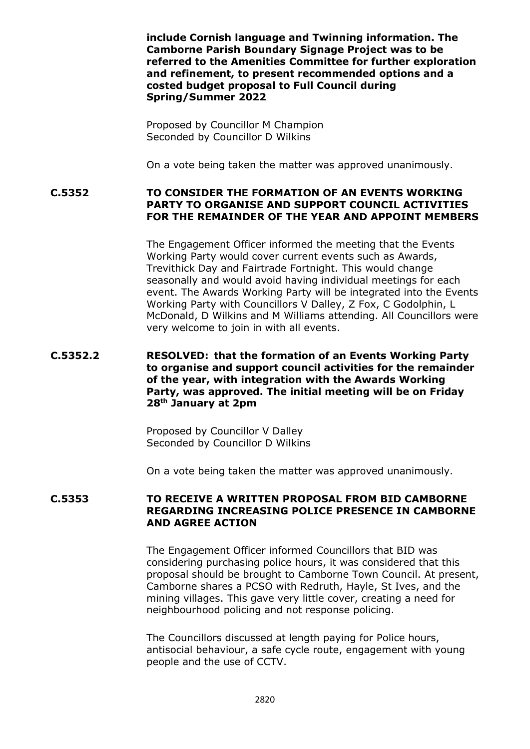**include Cornish language and Twinning information. The Camborne Parish Boundary Signage Project was to be referred to the Amenities Committee for further exploration and refinement, to present recommended options and a costed budget proposal to Full Council during Spring/Summer 2022**

Proposed by Councillor M Champion Seconded by Councillor D Wilkins

On a vote being taken the matter was approved unanimously.

**C.5352 TO CONSIDER THE FORMATION OF AN EVENTS WORKING PARTY TO ORGANISE AND SUPPORT COUNCIL ACTIVITIES FOR THE REMAINDER OF THE YEAR AND APPOINT MEMBERS**

> The Engagement Officer informed the meeting that the Events Working Party would cover current events such as Awards, Trevithick Day and Fairtrade Fortnight. This would change seasonally and would avoid having individual meetings for each event. The Awards Working Party will be integrated into the Events Working Party with Councillors V Dalley, Z Fox, C Godolphin, L McDonald, D Wilkins and M Williams attending. All Councillors were very welcome to join in with all events.

### **C.5352.2 RESOLVED: that the formation of an Events Working Party to organise and support council activities for the remainder of the year, with integration with the Awards Working Party, was approved. The initial meeting will be on Friday 28th January at 2pm**

Proposed by Councillor V Dalley Seconded by Councillor D Wilkins

On a vote being taken the matter was approved unanimously.

### **C.5353 TO RECEIVE A WRITTEN PROPOSAL FROM BID CAMBORNE REGARDING INCREASING POLICE PRESENCE IN CAMBORNE AND AGREE ACTION**

The Engagement Officer informed Councillors that BID was considering purchasing police hours, it was considered that this proposal should be brought to Camborne Town Council. At present, Camborne shares a PCSO with Redruth, Hayle, St Ives, and the mining villages. This gave very little cover, creating a need for neighbourhood policing and not response policing.

The Councillors discussed at length paying for Police hours, antisocial behaviour, a safe cycle route, engagement with young people and the use of CCTV.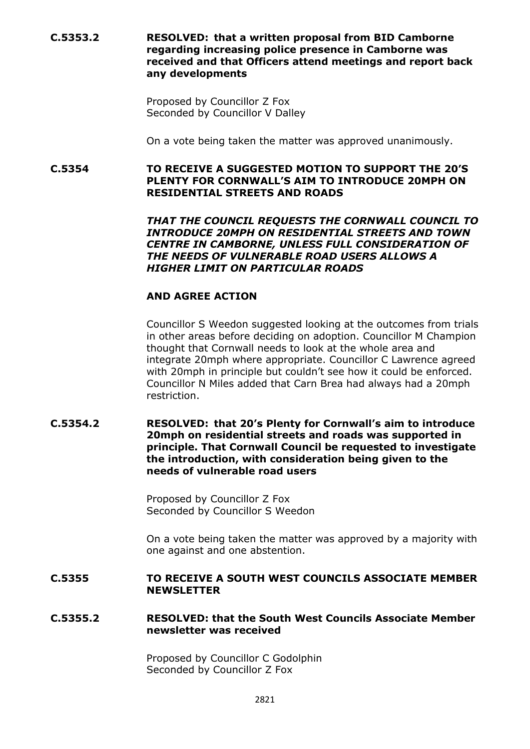**C.5353.2 RESOLVED: that a written proposal from BID Camborne regarding increasing police presence in Camborne was received and that Officers attend meetings and report back any developments**

> Proposed by Councillor Z Fox Seconded by Councillor V Dalley

On a vote being taken the matter was approved unanimously.

**C.5354 TO RECEIVE A SUGGESTED MOTION TO SUPPORT THE 20'S PLENTY FOR CORNWALL'S AIM TO INTRODUCE 20MPH ON RESIDENTIAL STREETS AND ROADS**

> *THAT THE COUNCIL REQUESTS THE CORNWALL COUNCIL TO INTRODUCE 20MPH ON RESIDENTIAL STREETS AND TOWN CENTRE IN CAMBORNE, UNLESS FULL CONSIDERATION OF THE NEEDS OF VULNERABLE ROAD USERS ALLOWS A HIGHER LIMIT ON PARTICULAR ROADS*

## **AND AGREE ACTION**

Councillor S Weedon suggested looking at the outcomes from trials in other areas before deciding on adoption. Councillor M Champion thought that Cornwall needs to look at the whole area and integrate 20mph where appropriate. Councillor C Lawrence agreed with 20mph in principle but couldn't see how it could be enforced. Councillor N Miles added that Carn Brea had always had a 20mph restriction.

**C.5354.2 RESOLVED: that 20's Plenty for Cornwall's aim to introduce 20mph on residential streets and roads was supported in principle. That Cornwall Council be requested to investigate the introduction, with consideration being given to the needs of vulnerable road users**

> Proposed by Councillor Z Fox Seconded by Councillor S Weedon

On a vote being taken the matter was approved by a majority with one against and one abstention.

### **C.5355 TO RECEIVE A SOUTH WEST COUNCILS ASSOCIATE MEMBER NEWSLETTER**

# **C.5355.2 RESOLVED: that the South West Councils Associate Member newsletter was received**

Proposed by Councillor C Godolphin Seconded by Councillor Z Fox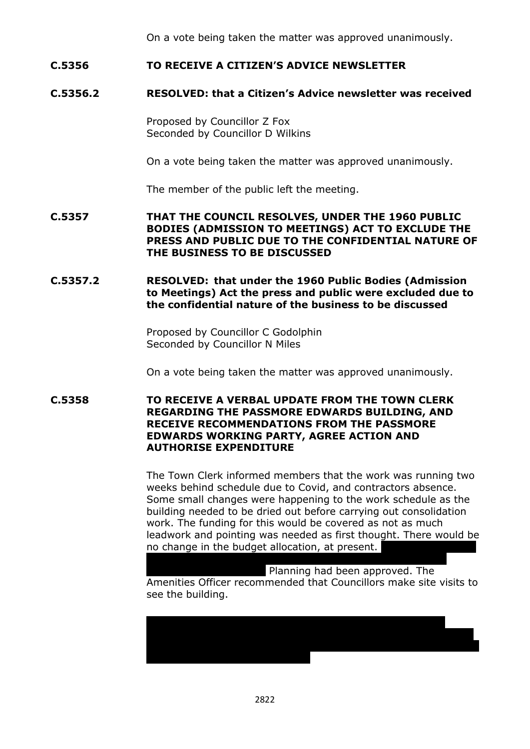On a vote being taken the matter was approved unanimously.

## **C.5356 TO RECEIVE A CITIZEN'S ADVICE NEWSLETTER**

# **C.5356.2 RESOLVED: that a Citizen's Advice newsletter was received**

Proposed by Councillor Z Fox Seconded by Councillor D Wilkins

On a vote being taken the matter was approved unanimously.

The member of the public left the meeting.

**C.5357 THAT THE COUNCIL RESOLVES, UNDER THE 1960 PUBLIC BODIES (ADMISSION TO MEETINGS) ACT TO EXCLUDE THE PRESS AND PUBLIC DUE TO THE CONFIDENTIAL NATURE OF THE BUSINESS TO BE DISCUSSED**

**C.5357.2 RESOLVED: that under the 1960 Public Bodies (Admission to Meetings) Act the press and public were excluded due to the confidential nature of the business to be discussed**

> Proposed by Councillor C Godolphin Seconded by Councillor N Miles

On a vote being taken the matter was approved unanimously.

**C.5358 TO RECEIVE A VERBAL UPDATE FROM THE TOWN CLERK REGARDING THE PASSMORE EDWARDS BUILDING, AND RECEIVE RECOMMENDATIONS FROM THE PASSMORE EDWARDS WORKING PARTY, AGREE ACTION AND AUTHORISE EXPENDITURE**

> The Town Clerk informed members that the work was running two weeks behind schedule due to Covid, and contractors absence. Some small changes were happening to the work schedule as the building needed to be dried out before carrying out consolidation work. The funding for this would be covered as not as much leadwork and pointing was needed as first thought. There would be no change in the budget allocation, at present.

> Planning had been approved. The Amenities Officer recommended that Councillors make site visits to see the building.

being dealt with by the solicitors, and further updates will be